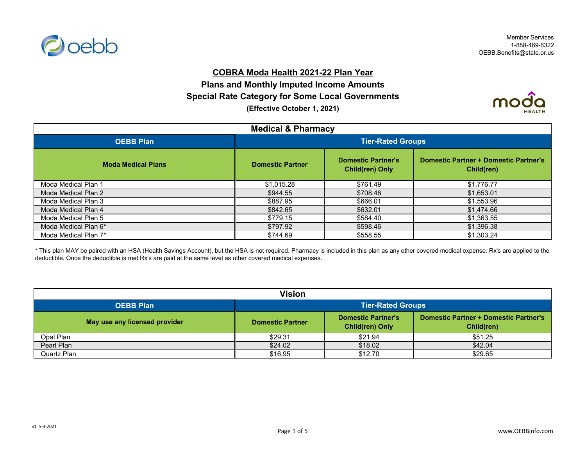

## **COBRA Moda Health 2021-22 Plan Year**

# **(Effective October 1, 2021) Plans and Monthly Imputed Income Amounts Special Rate Category for Some Local Governments**



| <b>Medical &amp; Pharmacy</b> |                          |                                                     |                                                            |
|-------------------------------|--------------------------|-----------------------------------------------------|------------------------------------------------------------|
| <b>OEBB Plan</b>              | <b>Tier-Rated Groups</b> |                                                     |                                                            |
| <b>Moda Medical Plans</b>     | <b>Domestic Partner</b>  | <b>Domestic Partner's</b><br><b>Child(ren) Only</b> | <b>Domestic Partner + Domestic Partner's</b><br>Child(ren) |
| Moda Medical Plan 1           | \$1,015.28               | \$761.49                                            | \$1,776.77                                                 |
| Moda Medical Plan 2           | \$944.55                 | \$708.46                                            | \$1,653.01                                                 |
| Moda Medical Plan 3           | \$887.95                 | \$666.01                                            | \$1,553.96                                                 |
| Moda Medical Plan 4           | \$842.65                 | \$632.01                                            | \$1,474.66                                                 |
| Moda Medical Plan 5           | \$779.15                 | \$584.40                                            | \$1,363.55                                                 |
| Moda Medical Plan 6*          | \$797.92                 | \$598.46                                            | \$1,396.38                                                 |
| Moda Medical Plan 7*          | \$744.69                 | \$558.55                                            | \$1,303.24                                                 |

\* This plan MAY be paired with an HSA (Health Savings Account), but the HSA is not required. Pharmacy is included in this plan as any other covered medical expense. Rx's are applied to the deductible. Once the deductible is met Rx's are paid at the same level as other covered medical expenses.

| <b>Vision</b>                 |                          |                                                     |                                                            |
|-------------------------------|--------------------------|-----------------------------------------------------|------------------------------------------------------------|
| <b>OEBB Plan</b>              | <b>Tier-Rated Groups</b> |                                                     |                                                            |
| May use any licensed provider | <b>Domestic Partner</b>  | <b>Domestic Partner's</b><br><b>Child(ren) Only</b> | <b>Domestic Partner + Domestic Partner's</b><br>Child(ren) |
| Opal Plan                     | \$29.31                  | \$21.94                                             | \$51.25                                                    |
| Pearl Plan                    | \$24.02                  | \$18.02                                             | \$42.04                                                    |
| Quartz Plan                   | \$16.95                  | \$12.70                                             | \$29.65                                                    |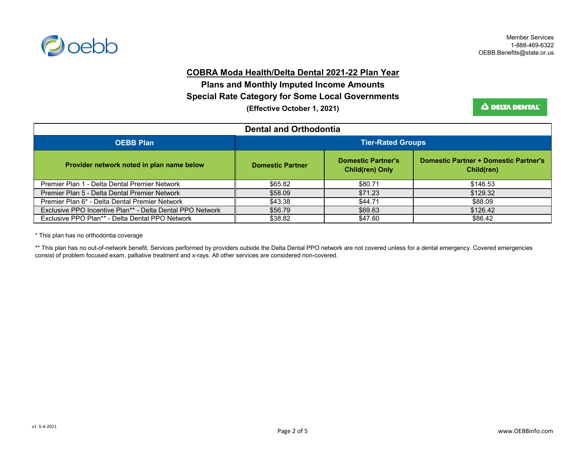

#### **COBRA Moda Health/Delta Dental 2021-22 Plan Year**

**Plans and Monthly Imputed Income Amounts (Effective October 1, 2021) Special Rate Category for Some Local Governments**

Δ DELTA DENTAL<sup>®</sup>

| <b>Dental and Orthodontia</b>                             |                          |                                                     |                                                            |
|-----------------------------------------------------------|--------------------------|-----------------------------------------------------|------------------------------------------------------------|
| <b>OEBB Plan</b>                                          | <b>Tier-Rated Groups</b> |                                                     |                                                            |
| Provider network noted in plan name below                 | <b>Domestic Partner</b>  | <b>Domestic Partner's</b><br><b>Child(ren) Only</b> | <b>Domestic Partner + Domestic Partner's</b><br>Child(ren) |
| Premier Plan 1 - Delta Dental Premier Network             | \$65.82                  | \$80.71                                             | \$146.53                                                   |
| Premier Plan 5 - Delta Dental Premier Network             | \$58.09                  | \$71.23                                             | \$129.32                                                   |
| Premier Plan 6* - Delta Dental Premier Network            | \$43.38                  | \$44.71                                             | \$88.09                                                    |
| Exclusive PPO Incentive Plan** - Delta Dental PPO Network | \$56.79                  | \$69.63                                             | \$126.42                                                   |
| Exclusive PPO Plan** - Delta Dental PPO Network           | \$38.82                  | \$47.60                                             | \$86.42                                                    |

\* This plan has no orthodontia coverage

\*\* This plan has no out-of-network benefit. Services performed by providers outside the Delta Dental PPO network are not covered unless for a dental emergency. Covered emergencies consist of problem focused exam, palliative treatment and x-rays. All other services are considered non-covered.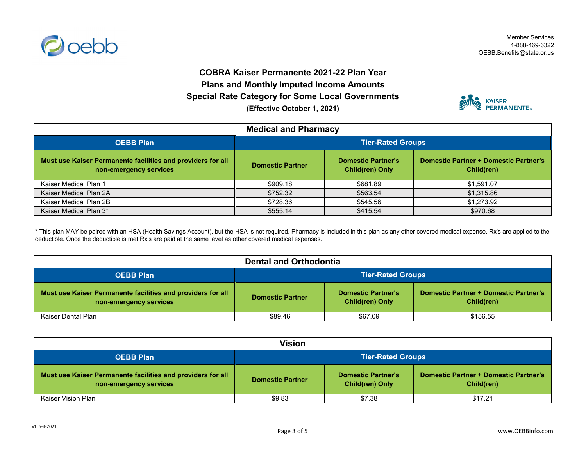

### **COBRA Kaiser Permanente 2021-22 Plan Year**

**Plans and Monthly Imputed Income Amounts (Effective October 1, 2021) Special Rate Category for Some Local Governments**



| <b>Medical and Pharmacy</b>                                                           |                         |                                                     |                                                            |
|---------------------------------------------------------------------------------------|-------------------------|-----------------------------------------------------|------------------------------------------------------------|
| <b>OEBB Plan</b>                                                                      | Tier-Rated Groups       |                                                     |                                                            |
| Must use Kaiser Permanente facilities and providers for all<br>non-emergency services | <b>Domestic Partner</b> | <b>Domestic Partner's</b><br><b>Child(ren) Only</b> | <b>Domestic Partner + Domestic Partner's</b><br>Child(ren) |
| Kaiser Medical Plan 1                                                                 | \$909.18                | \$681.89                                            | \$1.591.07                                                 |
| Kaiser Medical Plan 2A                                                                | \$752.32                | \$563.54                                            | \$1,315.86                                                 |
| Kaiser Medical Plan 2B                                                                | \$728.36                | \$545.56                                            | \$1,273.92                                                 |
| Kaiser Medical Plan 3*                                                                | \$555.14                | \$415.54                                            | \$970.68                                                   |

\* This plan MAY be paired with an HSA (Health Savings Account), but the HSA is not required. Pharmacy is included in this plan as any other covered medical expense. Rx's are applied to the deductible. Once the deductible is met Rx's are paid at the same level as other covered medical expenses.

| <b>Dental and Orthodontia</b>                                                         |                          |                                                     |                                                            |
|---------------------------------------------------------------------------------------|--------------------------|-----------------------------------------------------|------------------------------------------------------------|
| <b>OEBB Plan</b>                                                                      | <b>Tier-Rated Groups</b> |                                                     |                                                            |
| Must use Kaiser Permanente facilities and providers for all<br>non-emergency services | <b>Domestic Partner</b>  | <b>Domestic Partner's</b><br><b>Child(ren) Only</b> | <b>Domestic Partner + Domestic Partner's</b><br>Child(ren) |
| Kaiser Dental Plan                                                                    | \$89.46                  | \$67.09                                             | \$156.55                                                   |

| Vision                                                                                |                          |                                                     |                                                            |
|---------------------------------------------------------------------------------------|--------------------------|-----------------------------------------------------|------------------------------------------------------------|
| <b>OEBB Plan</b>                                                                      | <b>Tier-Rated Groups</b> |                                                     |                                                            |
| Must use Kaiser Permanente facilities and providers for all<br>non-emergency services | <b>Domestic Partner</b>  | <b>Domestic Partner's</b><br><b>Child(ren) Only</b> | <b>Domestic Partner + Domestic Partner's</b><br>Child(ren) |
| Kaiser Vision Plan                                                                    | \$9.83                   | \$7.38                                              | \$17.21                                                    |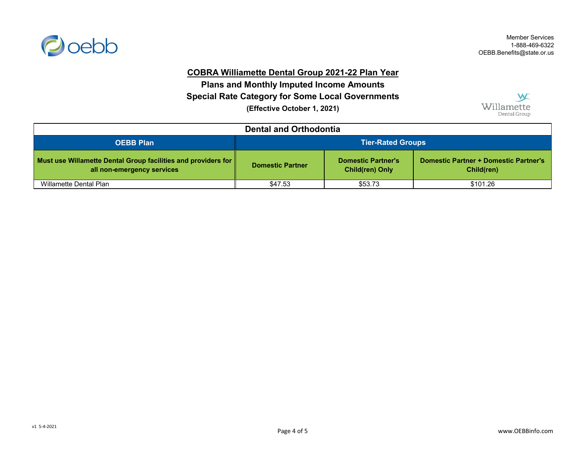

## **COBRA Williamette Dental Group 2021-22 Plan Year**

**(Effective October 1, 2021) Special Rate Category for Some Local Governments Plans and Monthly Imputed Income Amounts**



| <b>Dental and Orthodontia</b>                                                                  |                          |                                                     |                                                            |
|------------------------------------------------------------------------------------------------|--------------------------|-----------------------------------------------------|------------------------------------------------------------|
| <b>OEBB Plan</b>                                                                               | <b>Tier-Rated Groups</b> |                                                     |                                                            |
| Must use Willamette Dental Group facilities and providers for   <br>all non-emergency services | <b>Domestic Partner</b>  | <b>Domestic Partner's</b><br><b>Child(ren) Only</b> | <b>Domestic Partner + Domestic Partner's</b><br>Child(ren) |
| Willamette Dental Plan                                                                         | \$47.53                  | \$53.73                                             | \$101.26                                                   |